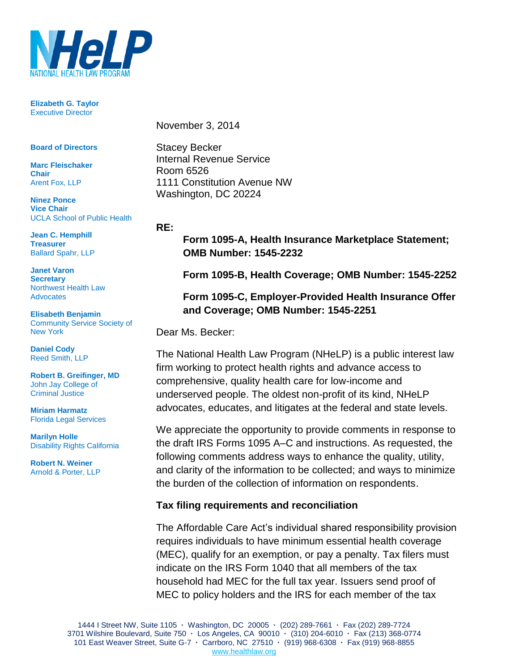

**Elizabeth G. Taylor** Executive Director

**Board of Directors**

**Marc Fleischaker Chair** Arent Fox, LLP

**Ninez Ponce Vice Chair** UCLA School of Public Health

**Jean C. Hemphill Treasurer** Ballard Spahr, LLP

**Janet Varon Secretary** Northwest Health Law Advocates

**Elisabeth Benjamin**  Community Service Society of New York

**Daniel Cody** Reed Smith, LLP

**Robert B. Greifinger, MD** John Jay College of Criminal Justice

**Miriam Harmatz** Florida Legal Services

**Marilyn Holle** Disability Rights California

**Robert N. Weiner** Arnold & Porter, LLP November 3, 2014

Stacey Becker Internal Revenue Service Room 6526 1111 Constitution Avenue NW Washington, DC 20224

#### **RE:**

**Form 1095-A, Health Insurance Marketplace Statement; OMB Number: 1545-2232**

**Form 1095-B, Health Coverage; OMB Number: 1545-2252**

## **Form 1095-C, Employer-Provided Health Insurance Offer and Coverage; OMB Number: 1545-2251**

Dear Ms. Becker:

The National Health Law Program (NHeLP) is a public interest law firm working to protect health rights and advance access to comprehensive, quality health care for low-income and underserved people. The oldest non-profit of its kind, NHeLP advocates, educates, and litigates at the federal and state levels.

We appreciate the opportunity to provide comments in response to the draft IRS Forms 1095 A–C and instructions. As requested, the following comments address ways to enhance the quality, utility, and clarity of the information to be collected; and ways to minimize the burden of the collection of information on respondents.

### **Tax filing requirements and reconciliation**

The Affordable Care Act's individual shared responsibility provision requires individuals to have minimum essential health coverage (MEC), qualify for an exemption, or pay a penalty. Tax filers must indicate on the IRS Form 1040 that all members of the tax household had MEC for the full tax year. Issuers send proof of MEC to policy holders and the IRS for each member of the tax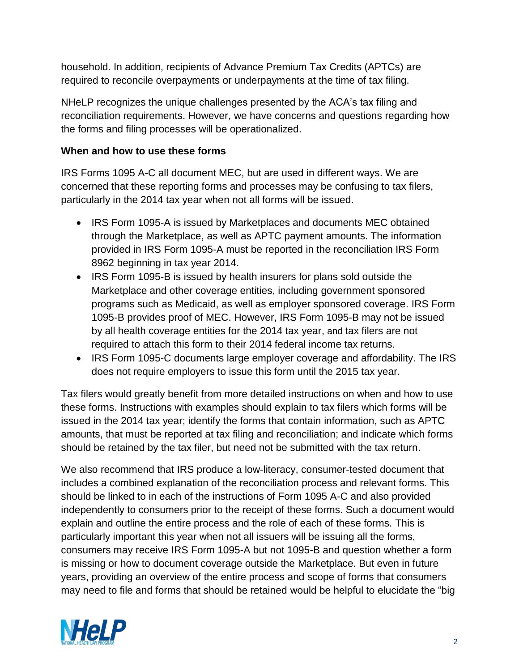household. In addition, recipients of Advance Premium Tax Credits (APTCs) are required to reconcile overpayments or underpayments at the time of tax filing.

NHeLP recognizes the unique challenges presented by the ACA's tax filing and reconciliation requirements. However, we have concerns and questions regarding how the forms and filing processes will be operationalized.

# **When and how to use these forms**

IRS Forms 1095 A-C all document MEC, but are used in different ways. We are concerned that these reporting forms and processes may be confusing to tax filers, particularly in the 2014 tax year when not all forms will be issued.

- IRS Form 1095-A is issued by Marketplaces and documents MEC obtained through the Marketplace, as well as APTC payment amounts. The information provided in IRS Form 1095-A must be reported in the reconciliation IRS Form 8962 beginning in tax year 2014.
- IRS Form 1095-B is issued by health insurers for plans sold outside the Marketplace and other coverage entities, including government sponsored programs such as Medicaid, as well as employer sponsored coverage. IRS Form 1095-B provides proof of MEC. However, IRS Form 1095-B may not be issued by all health coverage entities for the 2014 tax year, and tax filers are not required to attach this form to their 2014 federal income tax returns.
- IRS Form 1095-C documents large employer coverage and affordability. The IRS does not require employers to issue this form until the 2015 tax year.

Tax filers would greatly benefit from more detailed instructions on when and how to use these forms. Instructions with examples should explain to tax filers which forms will be issued in the 2014 tax year; identify the forms that contain information, such as APTC amounts, that must be reported at tax filing and reconciliation; and indicate which forms should be retained by the tax filer, but need not be submitted with the tax return.

We also recommend that IRS produce a low-literacy, consumer-tested document that includes a combined explanation of the reconciliation process and relevant forms. This should be linked to in each of the instructions of Form 1095 A-C and also provided independently to consumers prior to the receipt of these forms. Such a document would explain and outline the entire process and the role of each of these forms. This is particularly important this year when not all issuers will be issuing all the forms, consumers may receive IRS Form 1095-A but not 1095-B and question whether a form is missing or how to document coverage outside the Marketplace. But even in future years, providing an overview of the entire process and scope of forms that consumers may need to file and forms that should be retained would be helpful to elucidate the "big

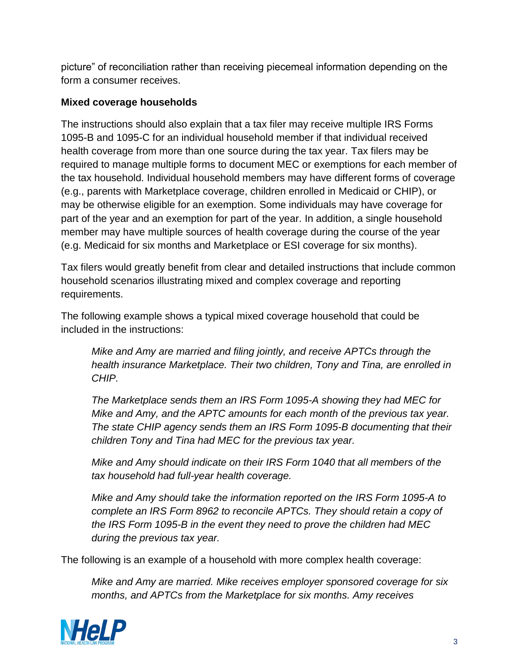picture" of reconciliation rather than receiving piecemeal information depending on the form a consumer receives.

## **Mixed coverage households**

The instructions should also explain that a tax filer may receive multiple IRS Forms 1095-B and 1095-C for an individual household member if that individual received health coverage from more than one source during the tax year. Tax filers may be required to manage multiple forms to document MEC or exemptions for each member of the tax household. Individual household members may have different forms of coverage (e.g., parents with Marketplace coverage, children enrolled in Medicaid or CHIP), or may be otherwise eligible for an exemption. Some individuals may have coverage for part of the year and an exemption for part of the year. In addition, a single household member may have multiple sources of health coverage during the course of the year (e.g. Medicaid for six months and Marketplace or ESI coverage for six months).

Tax filers would greatly benefit from clear and detailed instructions that include common household scenarios illustrating mixed and complex coverage and reporting requirements.

The following example shows a typical mixed coverage household that could be included in the instructions:

*Mike and Amy are married and filing jointly, and receive APTCs through the health insurance Marketplace. Their two children, Tony and Tina, are enrolled in CHIP.*

*The Marketplace sends them an IRS Form 1095-A showing they had MEC for Mike and Amy, and the APTC amounts for each month of the previous tax year. The state CHIP agency sends them an IRS Form 1095-B documenting that their children Tony and Tina had MEC for the previous tax year.*

*Mike and Amy should indicate on their IRS Form 1040 that all members of the tax household had full-year health coverage.*

*Mike and Amy should take the information reported on the IRS Form 1095-A to complete an IRS Form 8962 to reconcile APTCs. They should retain a copy of the IRS Form 1095-B in the event they need to prove the children had MEC during the previous tax year.*

The following is an example of a household with more complex health coverage:

*Mike and Amy are married. Mike receives employer sponsored coverage for six months, and APTCs from the Marketplace for six months. Amy receives* 

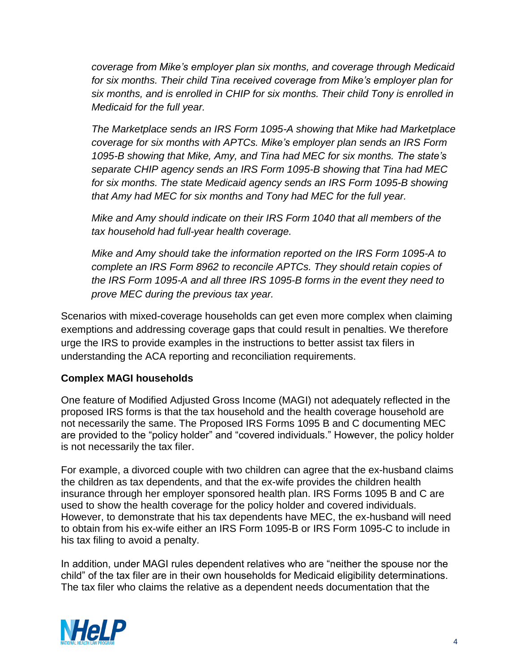*coverage from Mike's employer plan six months, and coverage through Medicaid for six months. Their child Tina received coverage from Mike's employer plan for six months, and is enrolled in CHIP for six months. Their child Tony is enrolled in Medicaid for the full year.*

*The Marketplace sends an IRS Form 1095-A showing that Mike had Marketplace coverage for six months with APTCs. Mike's employer plan sends an IRS Form 1095-B showing that Mike, Amy, and Tina had MEC for six months. The state's separate CHIP agency sends an IRS Form 1095-B showing that Tina had MEC for six months. The state Medicaid agency sends an IRS Form 1095-B showing that Amy had MEC for six months and Tony had MEC for the full year.*

*Mike and Amy should indicate on their IRS Form 1040 that all members of the tax household had full-year health coverage.*

*Mike and Amy should take the information reported on the IRS Form 1095-A to complete an IRS Form 8962 to reconcile APTCs. They should retain copies of the IRS Form 1095-A and all three IRS 1095-B forms in the event they need to prove MEC during the previous tax year.*

Scenarios with mixed-coverage households can get even more complex when claiming exemptions and addressing coverage gaps that could result in penalties. We therefore urge the IRS to provide examples in the instructions to better assist tax filers in understanding the ACA reporting and reconciliation requirements.

### **Complex MAGI households**

One feature of Modified Adjusted Gross Income (MAGI) not adequately reflected in the proposed IRS forms is that the tax household and the health coverage household are not necessarily the same. The Proposed IRS Forms 1095 B and C documenting MEC are provided to the "policy holder" and "covered individuals." However, the policy holder is not necessarily the tax filer.

For example, a divorced couple with two children can agree that the ex-husband claims the children as tax dependents, and that the ex-wife provides the children health insurance through her employer sponsored health plan. IRS Forms 1095 B and C are used to show the health coverage for the policy holder and covered individuals. However, to demonstrate that his tax dependents have MEC, the ex-husband will need to obtain from his ex-wife either an IRS Form 1095-B or IRS Form 1095-C to include in his tax filing to avoid a penalty.

In addition, under MAGI rules dependent relatives who are "neither the spouse nor the child" of the tax filer are in their own households for Medicaid eligibility determinations. The tax filer who claims the relative as a dependent needs documentation that the

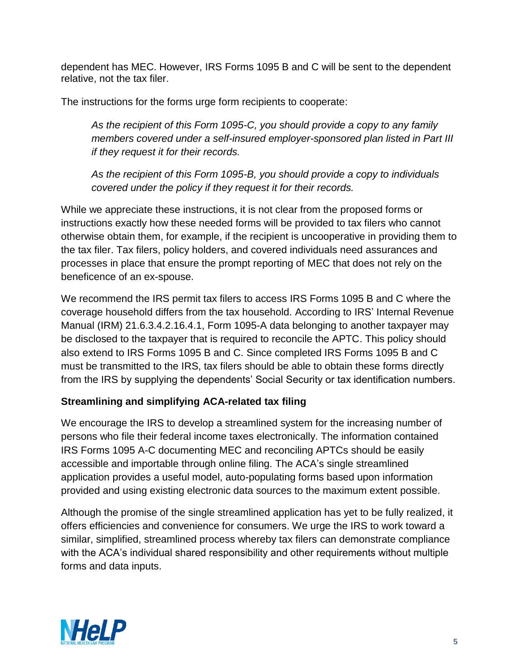dependent has MEC. However, IRS Forms 1095 B and C will be sent to the dependent relative, not the tax filer.

The instructions for the forms urge form recipients to cooperate:

*As the recipient of this Form 1095-C, you should provide a copy to any family members covered under a self-insured employer-sponsored plan listed in Part III if they request it for their records.*

*As the recipient of this Form 1095-B, you should provide a copy to individuals covered under the policy if they request it for their records.*

While we appreciate these instructions, it is not clear from the proposed forms or instructions exactly how these needed forms will be provided to tax filers who cannot otherwise obtain them, for example, if the recipient is uncooperative in providing them to the tax filer. Tax filers, policy holders, and covered individuals need assurances and processes in place that ensure the prompt reporting of MEC that does not rely on the beneficence of an ex-spouse.

We recommend the IRS permit tax filers to access IRS Forms 1095 B and C where the coverage household differs from the tax household. According to IRS' Internal Revenue Manual (IRM) 21.6.3.4.2.16.4.1, Form 1095-A data belonging to another taxpayer may be disclosed to the taxpayer that is required to reconcile the APTC. This policy should also extend to IRS Forms 1095 B and C. Since completed IRS Forms 1095 B and C must be transmitted to the IRS, tax filers should be able to obtain these forms directly from the IRS by supplying the dependents' Social Security or tax identification numbers.

# **Streamlining and simplifying ACA-related tax filing**

We encourage the IRS to develop a streamlined system for the increasing number of persons who file their federal income taxes electronically. The information contained IRS Forms 1095 A-C documenting MEC and reconciling APTCs should be easily accessible and importable through online filing. The ACA's single streamlined application provides a useful model, auto-populating forms based upon information provided and using existing electronic data sources to the maximum extent possible.

Although the promise of the single streamlined application has yet to be fully realized, it offers efficiencies and convenience for consumers. We urge the IRS to work toward a similar, simplified, streamlined process whereby tax filers can demonstrate compliance with the ACA's individual shared responsibility and other requirements without multiple forms and data inputs.